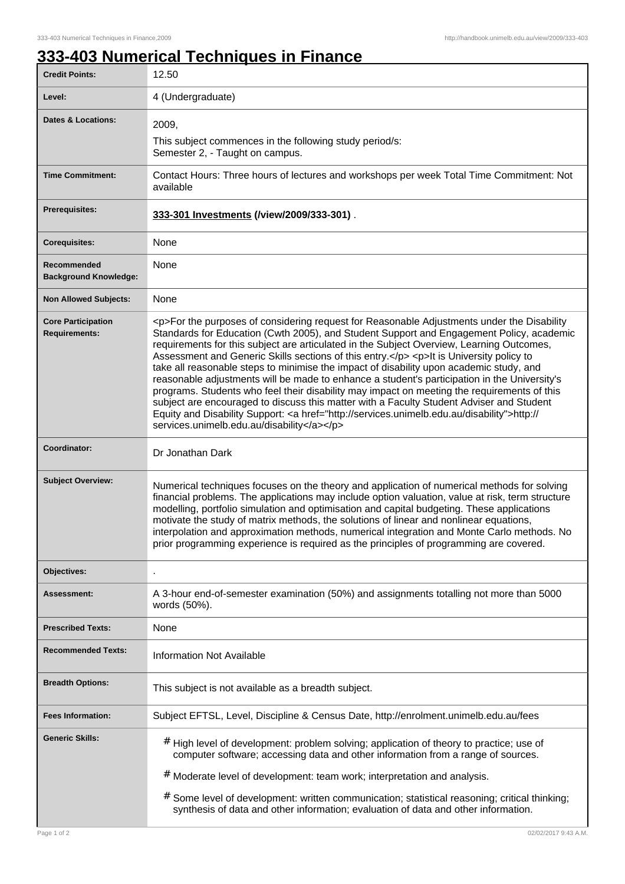## **333-403 Numerical Techniques in Finance**

| <b>Credit Points:</b>                             | 12.50                                                                                                                                                                                                                                                                                                                                                                                                                                                                                                                                                                                                                                                                                                                                                                                                                                                                                                                        |
|---------------------------------------------------|------------------------------------------------------------------------------------------------------------------------------------------------------------------------------------------------------------------------------------------------------------------------------------------------------------------------------------------------------------------------------------------------------------------------------------------------------------------------------------------------------------------------------------------------------------------------------------------------------------------------------------------------------------------------------------------------------------------------------------------------------------------------------------------------------------------------------------------------------------------------------------------------------------------------------|
| Level:                                            | 4 (Undergraduate)                                                                                                                                                                                                                                                                                                                                                                                                                                                                                                                                                                                                                                                                                                                                                                                                                                                                                                            |
| <b>Dates &amp; Locations:</b>                     | 2009,                                                                                                                                                                                                                                                                                                                                                                                                                                                                                                                                                                                                                                                                                                                                                                                                                                                                                                                        |
|                                                   | This subject commences in the following study period/s:<br>Semester 2, - Taught on campus.                                                                                                                                                                                                                                                                                                                                                                                                                                                                                                                                                                                                                                                                                                                                                                                                                                   |
| <b>Time Commitment:</b>                           | Contact Hours: Three hours of lectures and workshops per week Total Time Commitment: Not<br>available                                                                                                                                                                                                                                                                                                                                                                                                                                                                                                                                                                                                                                                                                                                                                                                                                        |
| <b>Prerequisites:</b>                             | 333-301 Investments (/view/2009/333-301).                                                                                                                                                                                                                                                                                                                                                                                                                                                                                                                                                                                                                                                                                                                                                                                                                                                                                    |
| <b>Corequisites:</b>                              | None                                                                                                                                                                                                                                                                                                                                                                                                                                                                                                                                                                                                                                                                                                                                                                                                                                                                                                                         |
| Recommended<br><b>Background Knowledge:</b>       | None                                                                                                                                                                                                                                                                                                                                                                                                                                                                                                                                                                                                                                                                                                                                                                                                                                                                                                                         |
| <b>Non Allowed Subjects:</b>                      | None                                                                                                                                                                                                                                                                                                                                                                                                                                                                                                                                                                                                                                                                                                                                                                                                                                                                                                                         |
| <b>Core Participation</b><br><b>Requirements:</b> | <p>For the purposes of considering request for Reasonable Adjustments under the Disability<br/>Standards for Education (Cwth 2005), and Student Support and Engagement Policy, academic<br/>requirements for this subject are articulated in the Subject Overview, Learning Outcomes,<br/>Assessment and Generic Skills sections of this entry.</p> <p>lt is University policy to<br/>take all reasonable steps to minimise the impact of disability upon academic study, and<br/>reasonable adjustments will be made to enhance a student's participation in the University's<br/>programs. Students who feel their disability may impact on meeting the requirements of this<br/>subject are encouraged to discuss this matter with a Faculty Student Adviser and Student<br/>Equity and Disability Support: &lt; a href="http://services.unimelb.edu.au/disability"&gt;http://<br/>services.unimelb.edu.au/disability</p> |
| Coordinator:                                      | Dr Jonathan Dark                                                                                                                                                                                                                                                                                                                                                                                                                                                                                                                                                                                                                                                                                                                                                                                                                                                                                                             |
| <b>Subject Overview:</b>                          | Numerical techniques focuses on the theory and application of numerical methods for solving<br>financial problems. The applications may include option valuation, value at risk, term structure<br>modelling, portfolio simulation and optimisation and capital budgeting. These applications<br>motivate the study of matrix methods, the solutions of linear and nonlinear equations,<br>interpolation and approximation methods, numerical integration and Monte Carlo methods. No<br>prior programming experience is required as the principles of programming are covered.                                                                                                                                                                                                                                                                                                                                              |
| Objectives:                                       |                                                                                                                                                                                                                                                                                                                                                                                                                                                                                                                                                                                                                                                                                                                                                                                                                                                                                                                              |
| Assessment:                                       | A 3-hour end-of-semester examination (50%) and assignments totalling not more than 5000<br>words (50%).                                                                                                                                                                                                                                                                                                                                                                                                                                                                                                                                                                                                                                                                                                                                                                                                                      |
| <b>Prescribed Texts:</b>                          | None                                                                                                                                                                                                                                                                                                                                                                                                                                                                                                                                                                                                                                                                                                                                                                                                                                                                                                                         |
| <b>Recommended Texts:</b>                         | <b>Information Not Available</b>                                                                                                                                                                                                                                                                                                                                                                                                                                                                                                                                                                                                                                                                                                                                                                                                                                                                                             |
| <b>Breadth Options:</b>                           | This subject is not available as a breadth subject.                                                                                                                                                                                                                                                                                                                                                                                                                                                                                                                                                                                                                                                                                                                                                                                                                                                                          |
| <b>Fees Information:</b>                          | Subject EFTSL, Level, Discipline & Census Date, http://enrolment.unimelb.edu.au/fees                                                                                                                                                                                                                                                                                                                                                                                                                                                                                                                                                                                                                                                                                                                                                                                                                                         |
| <b>Generic Skills:</b>                            | # High level of development: problem solving; application of theory to practice; use of<br>computer software; accessing data and other information from a range of sources.                                                                                                                                                                                                                                                                                                                                                                                                                                                                                                                                                                                                                                                                                                                                                  |
|                                                   | # Moderate level of development: team work; interpretation and analysis.<br># Some level of development: written communication; statistical reasoning; critical thinking;<br>synthesis of data and other information; evaluation of data and other information.                                                                                                                                                                                                                                                                                                                                                                                                                                                                                                                                                                                                                                                              |